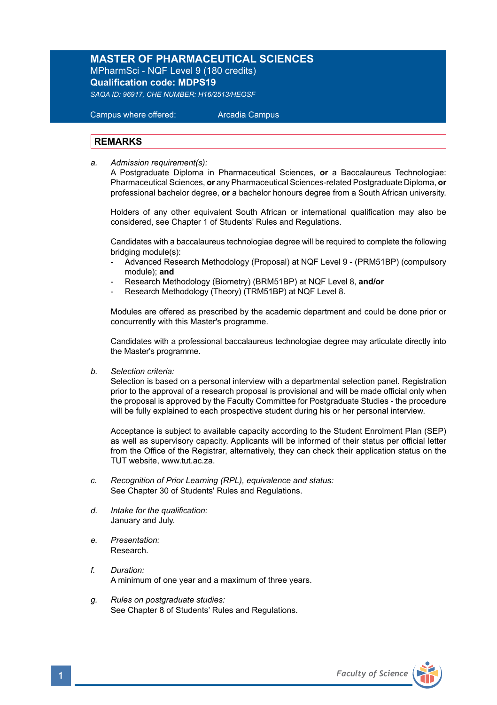## **MASTER OF PHARMACEUTICAL SCIENCES**

MPharmSci - NQF Level 9 (180 credits) **Qualification code: MDPS19**

*SAQA ID: 96917, CHE NUMBER: H16/2513/HEQSF* 

 Campus where offered: Arcadia Campus

## **REMARKS**

*a. Admission requirement(s):* 

A Postgraduate Diploma in Pharmaceutical Sciences, **or** a Baccalaureus Technologiae: Pharmaceutical Sciences, **or** any Pharmaceutical Sciences-related Postgraduate Diploma, **or** professional bachelor degree, **or** a bachelor honours degree from a South African university.

 Holders of any other equivalent South African or international qualification may also be considered, see Chapter 1 of Students' Rules and Regulations.

 Candidates with a baccalaureus technologiae degree will be required to complete the following bridging module(s):

- Advanced Research Methodology (Proposal) at NQF Level 9 (PRM51BP) (compulsory module); **and**
- Research Methodology (Biometry) (BRM51BP) at NQF Level 8, **and/or**
- Research Methodology (Theory) (TRM51BP) at NQF Level 8.

Modules are offered as prescribed by the academic department and could be done prior or concurrently with this Master's programme.

Candidates with a professional baccalaureus technologiae degree may articulate directly into the Master's programme.

*b. Selection criteria:*

Selection is based on a personal interview with a departmental selection panel. Registration prior to the approval of a research proposal is provisional and will be made official only when the proposal is approved by the Faculty Committee for Postgraduate Studies - the procedure will be fully explained to each prospective student during his or her personal interview.

Acceptance is subject to available capacity according to the Student Enrolment Plan (SEP) as well as supervisory capacity. Applicants will be informed of their status per official letter from the Office of the Registrar, alternatively, they can check their application status on the TUT website, www.tut.ac.za.

- *c. Recognition of Prior Learning (RPL), equivalence and status:* See Chapter 30 of Students' Rules and Regulations.
- *d. Intake for the qualification:* January and July.
- *e. Presentation:* Research.
- *f. Duration:*  A minimum of one year and a maximum of three years.
- *g. Rules on postgraduate studies:* See Chapter 8 of Students' Rules and Regulations.